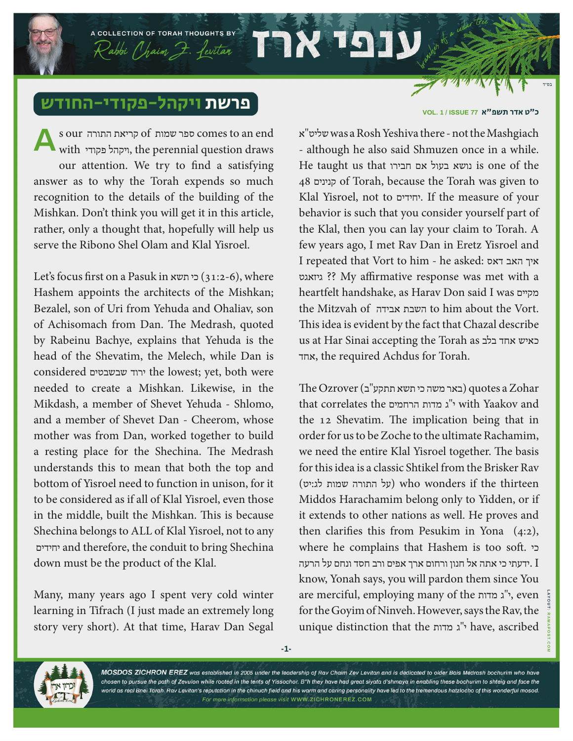## פרשת ויקהל-פקודי-החו

A COLLECTION OF TORAH THOUGHTS BY

Rabbi Chaim Z. feritar

s our התורה קריאת of שמות ספר comes to an end with ויקהל פקודי, the perennial question draws our attention. We try to find a satisfying answer as to why the Torah expends so much recognition to the details of the building of the Mishkan. Don't think you will get it in this article, rather, only a thought that, hopefully will help us serve the Ribono Shel Olam and Klal Yisroel. **A**

Let's focus first on a Pasuk in תשא כי) 31:2-6(, where Hashem appoints the architects of the Mishkan; Bezalel, son of Uri from Yehuda and Ohaliav, son of Achisomach from Dan. The Medrash, quoted by Rabeinu Bachye, explains that Yehuda is the head of the Shevatim, the Melech, while Dan is considered שבשבטים ירוד the lowest; yet, both were needed to create a Mishkan. Likewise, in the Mikdash, a member of Shevet Yehuda - Shlomo, and a member of Shevet Dan - Cheerom, whose mother was from Dan, worked together to build a resting place for the Shechina. The Medrash understands this to mean that both the top and bottom of Yisroel need to function in unison, for it to be considered as if all of Klal Yisroel, even those in the middle, built the Mishkan. This is because Shechina belongs to ALL of Klal Yisroel, not to any יחידים and therefore, the conduit to bring Shechina down must be the product of the Klal.

Many, many years ago I spent very cold winter learning in Tifrach (I just made an extremely long story very short). At that time, Harav Dan Segal

## כ״ט אדר תשפ"א **77 ISSUE / 1 .VOL**

א"שליט was a Rosh Yeshiva there - not the Mashgiach - although he also said Shmuzen once in a while. He taught us that חבירו אם בעול נושא is one of the 48 קנינים of Torah, because the Torah was given to Klal Yisroel, not to יחידים. If the measure of your behavior is such that you consider yourself part of the Klal, then you can lay your claim to Torah. A few years ago, I met Rav Dan in Eretz Yisroel and I repeated that Vort to him - he asked: דאס האב איך גיזאגט ?? My affirmative response was met with a heartfelt handshake, as Harav Don said I was מקיים the Mitzvah of אבידה השבת to him about the Vort. This idea is evident by the fact that Chazal describe us at Har Sinai accepting the Torah as בלב אחד כאיש אחד, the required Achdus for Torah.

 $The Ozrover ($ באר משה כי תשא תתקע"ב) guotes a  $Zohar$ that correlates the הרחמים מדות ג"י with Yaakov and the 12 Shevatim. The implication being that in order for us to be Zoche to the ultimate Rachamim, we need the entire Klal Yisroel together. The basis for this idea is a classic Shtikel from the Brisker Rav thirteen the if wonders who) על התורה שמות לג:יט) Middos Harachamim belong only to Yidden, or if it extends to other nations as well. He proves and then clarifies this from Pesukim in Yona (4:2), where he complains that Hashem is too soft. כי ידעתי כי אתה אל חנון ורחום ארך אפים ורב חסד ונחם על הרעה.  $I$ know, Yonah says, you will pardon them since You are merciful, employing many of the מדות ג"י, even for the Goyim of Ninveh. However, says the Rav, the unique distinction that the מדות ג"י have, ascribed



MOSDOS ZICHRON EREZ was established in 2005 under the leadership of Rav Chaim Zev Levitan and is dedicated to older Bais Medrash bochurim who have chosen to pursue the path of Zevulon while rooted in the tents of Yissochor. B"h they have had great siyata d'shmaya in enabling these bochurim to shteig and face the world as real Bnei Torah. Rav Levitan's reputation in the chinuch field and his warm and caring personality have led to the tremendous hatzlocho of this wonderful mosod. For more information please visit WWW.ZICHRONEREZ.COM

TEIX 191

**-1-**